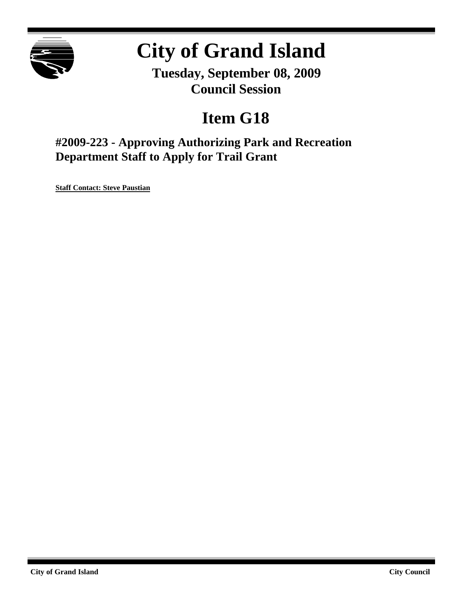

# **City of Grand Island**

**Tuesday, September 08, 2009 Council Session**

# **Item G18**

**#2009-223 - Approving Authorizing Park and Recreation Department Staff to Apply for Trail Grant**

**Staff Contact: Steve Paustian**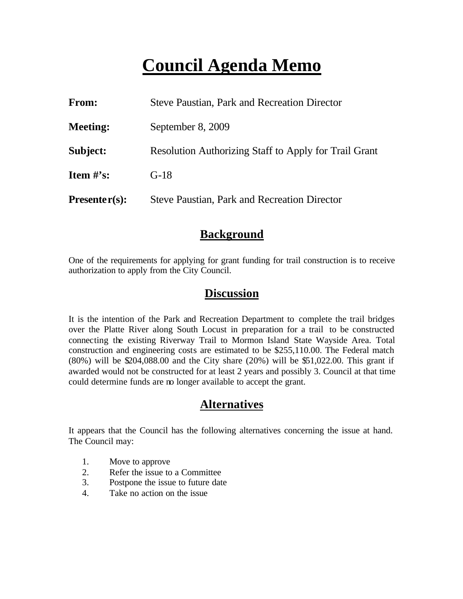# **Council Agenda Memo**

| <b>From:</b>    | <b>Steve Paustian, Park and Recreation Director</b>   |  |  |
|-----------------|-------------------------------------------------------|--|--|
| <b>Meeting:</b> | September 8, 2009                                     |  |  |
| Subject:        | Resolution Authorizing Staff to Apply for Trail Grant |  |  |
| Item $\#$ 's:   | $G-18$                                                |  |  |
| $Presenter(s):$ | <b>Steve Paustian, Park and Recreation Director</b>   |  |  |

#### **Background**

One of the requirements for applying for grant funding for trail construction is to receive authorization to apply from the City Council.

#### **Discussion**

It is the intention of the Park and Recreation Department to complete the trail bridges over the Platte River along South Locust in preparation for a trail to be constructed connecting the existing Riverway Trail to Mormon Island State Wayside Area. Total construction and engineering costs are estimated to be \$255,110.00. The Federal match (80%) will be \$204,088.00 and the City share (20%) will be \$51,022.00. This grant if awarded would not be constructed for at least 2 years and possibly 3. Council at that time could determine funds are no longer available to accept the grant.

#### **Alternatives**

It appears that the Council has the following alternatives concerning the issue at hand. The Council may:

- 1. Move to approve
- 2. Refer the issue to a Committee
- 3. Postpone the issue to future date
- 4. Take no action on the issue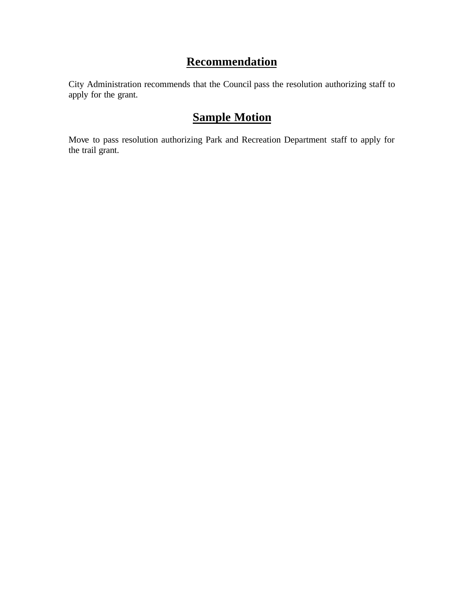### **Recommendation**

City Administration recommends that the Council pass the resolution authorizing staff to apply for the grant.

### **Sample Motion**

Move to pass resolution authorizing Park and Recreation Department staff to apply for the trail grant.